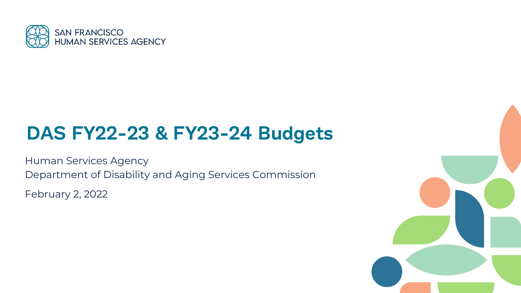

### **DAS FY22-23 & FY23-24 Budgets**

Human Services Agency Department of Disability and Aging Services Commission

February 2, 2022

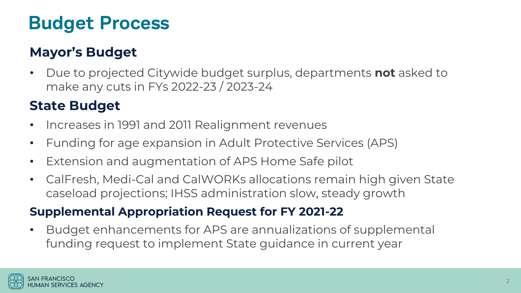### **Budget Process**

### **Mayor's Budget**

• Due to projected Citywide budget surplus, departments **not** asked to make any cuts in FYs 2022-23 / 2023-24

### **State Budget**

- Increases in 1991 and 2011 Realignment revenues
- Funding for age expansion in Adult Protective Services (APS)
- Extension and augmentation of APS Home Safe pilot
- CalFresh, Medi-Cal and CalWORKs allocations remain high given State caseload projections; IHSS administration slow, steady growth

#### **Supplemental Appropriation Request for FY 2021-22**

• Budget enhancements for APS are annualizations of supplemental funding request to implement State guidance in current year

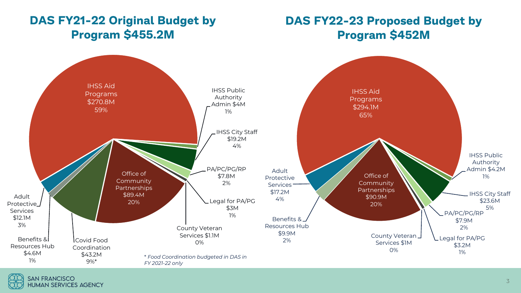#### **DAS FY21-22 Original Budget by Program \$455.2M**

#### **DAS FY22-23 Proposed Budget by Program \$452M**

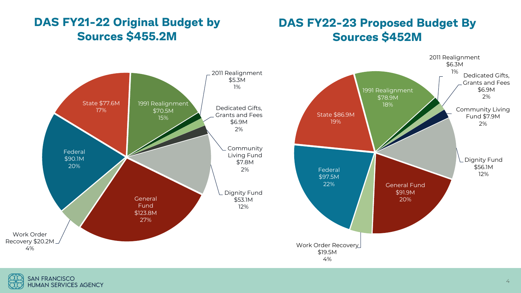#### **DAS FY21-22 Original Budget by Sources \$455.2M**

#### **DAS FY22-23 Proposed Budget By Sources \$452M**





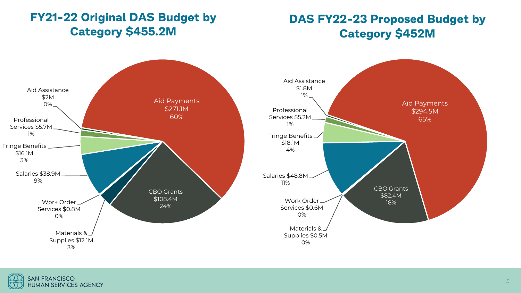#### **FY21-22 Original DAS Budget by Category \$455.2M**

#### **DAS FY22-23 Proposed Budget by Category \$452M**





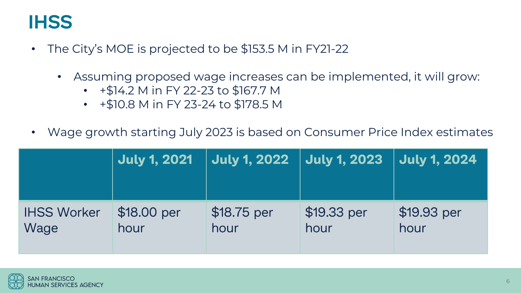### **IHSS**

- The City's MOE is projected to be \$153.5 M in FY21-22
	- Assuming proposed wage increases can be implemented, it will grow:
		- +\$14.2 M in FY 22-23 to \$167.7 M
		- +\$10.8 M in FY 23-24 to \$178.5 M
- Wage growth starting July 2023 is based on Consumer Price Index estimates

|                    | <b>July 1, 2021</b> | <b>July 1, 2022</b> | <b>July 1, 2023</b> | <b>July 1, 2024</b> |
|--------------------|---------------------|---------------------|---------------------|---------------------|
| <b>IHSS Worker</b> | \$18.00 per         | \$18.75 per         | \$19.33 per         | \$19.93 per         |
| Wage               | hour                | hour                | hour                | hour                |

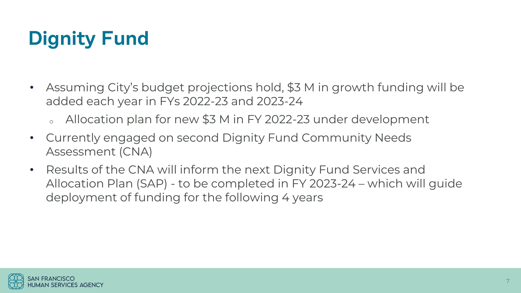# **Dignity Fund**

- Assuming City's budget projections hold, \$3 M in growth funding will be added each year in FYs 2022-23 and 2023-24
	- Allocation plan for new  $$3$  M in FY 2022-23 under development
- Currently engaged on second Dignity Fund Community Needs Assessment (CNA)
- Results of the CNA will inform the next Dignity Fund Services and Allocation Plan (SAP) - to be completed in FY 2023-24 – which will guide deployment of funding for the following 4 years

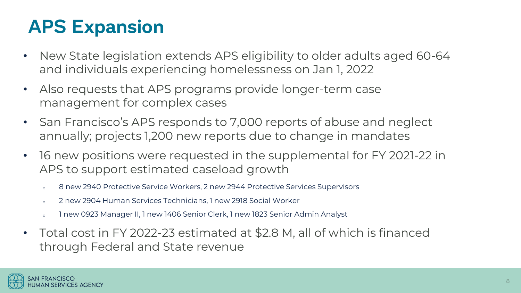# **APS Expansion**

- New State legislation extends APS eligibility to older adults aged 60-64 and individuals experiencing homelessness on Jan 1, 2022
- Also requests that APS programs provide longer-term case management for complex cases
- San Francisco's APS responds to 7,000 reports of abuse and neglect annually; projects 1,200 new reports due to change in mandates
- 16 new positions were requested in the supplemental for FY 2021-22 in APS to support estimated caseload growth
	- o 8 new 2940 Protective Service Workers, 2 new 2944 Protective Services Supervisors
	- o 2 new 2904 Human Services Technicians, 1 new 2918 Social Worker
	- o 1 new 0923 Manager II, 1 new 1406 Senior Clerk, 1 new 1823 Senior Admin Analyst
- Total cost in FY 2022-23 estimated at \$2.8 M, all of which is financed through Federal and State revenue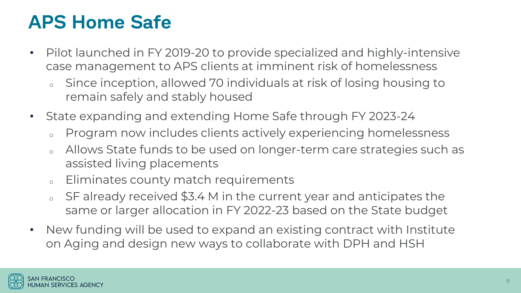## **APS Home Safe**

- Pilot launched in FY 2019-20 to provide specialized and highly-intensive case management to APS clients at imminent risk of homelessness
	- Since inception, allowed 70 individuals at risk of losing housing to remain safely and stably housed
- State expanding and extending Home Safe through FY 2023-24
	- <sup>o</sup> Program now includes clients actively experiencing homelessness
	- o Allows State funds to be used on longer-term care strategies such as assisted living placements
	- <sup>o</sup> Eliminates county match requirements
	- SF already received \$3.4 M in the current year and anticipates the same or larger allocation in FY 2022-23 based on the State budget
- New funding will be used to expand an existing contract with Institute on Aging and design new ways to collaborate with DPH and HSH

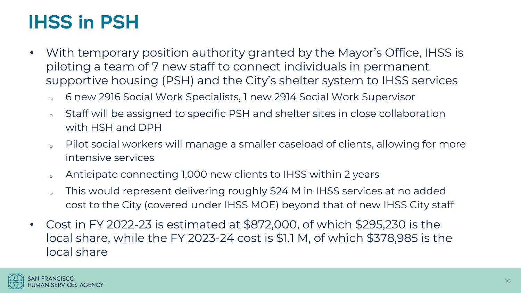## **IHSS in PSH**

- With temporary position authority granted by the Mayor's Office, IHSS is piloting a team of 7 new staff to connect individuals in permanent supportive housing (PSH) and the City's shelter system to IHSS services
	- <sup>o</sup> 6 new 2916 Social Work Specialists, 1 new 2914 Social Work Supervisor
	- o Staff will be assigned to specific PSH and shelter sites in close collaboration with HSH and DPH
	- <sup>o</sup> Pilot social workers will manage a smaller caseload of clients, allowing for more intensive services
	- <sup>o</sup> Anticipate connecting 1,000 new clients to IHSS within 2 years
	- o This would represent delivering roughly \$24 M in IHSS services at no added cost to the City (covered under IHSS MOE) beyond that of new IHSS City staff
- Cost in FY 2022-23 is estimated at \$872,000, of which \$295,230 is the local share, while the FY 2023-24 cost is \$1.1 M, of which \$378,985 is the local share

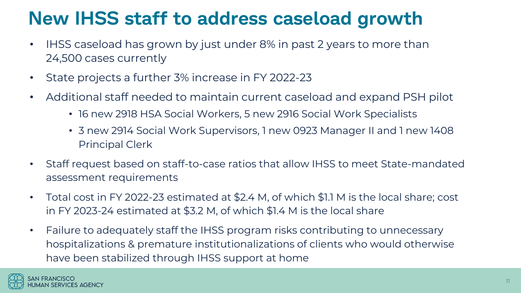### **New IHSS staff to address caseload growth**

- IHSS caseload has grown by just under 8% in past 2 years to more than 24,500 cases currently
- State projects a further 3% increase in FY 2022-23
- Additional staff needed to maintain current caseload and expand PSH pilot
	- 16 new 2918 HSA Social Workers, 5 new 2916 Social Work Specialists
	- 3 new 2914 Social Work Supervisors, 1 new 0923 Manager II and 1 new 1408 Principal Clerk
- Staff request based on staff-to-case ratios that allow IHSS to meet State-mandated assessment requirements
- Total cost in FY 2022-23 estimated at \$2.4 M, of which \$1.1 M is the local share; cost in FY 2023-24 estimated at \$3.2 M, of which \$1.4 M is the local share
- Failure to adequately staff the IHSS program risks contributing to unnecessary hospitalizations & premature institutionalizations of clients who would otherwise have been stabilized through IHSS support at home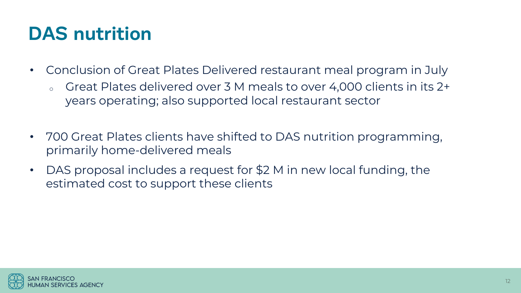## **DAS nutrition**

- Conclusion of Great Plates Delivered restaurant meal program in July
	- o Great Plates delivered over 3 M meals to over 4,000 clients in its 2+ years operating; also supported local restaurant sector
- 700 Great Plates clients have shifted to DAS nutrition programming, primarily home-delivered meals
- DAS proposal includes a request for \$2 M in new local funding, the estimated cost to support these clients